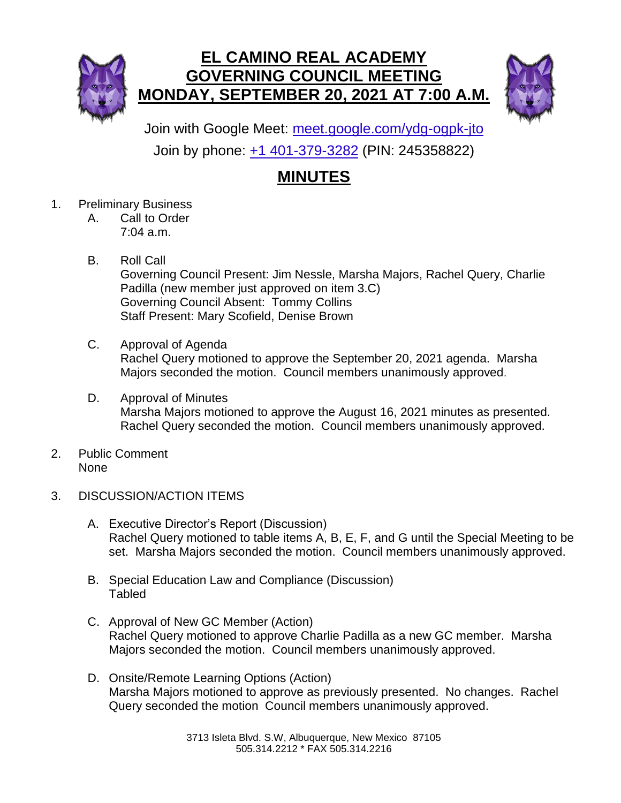



Join with Google Meet: [meet.google.com/ydg-ogpk-jto](https://meet.google.com/ydg-ogpk-jto?hs=224) Join by phone: [+1 401-379-3282](tel:+1-401-379-3282;245358822) (PIN: 245358822)

## **MINUTES**

- 1. Preliminary Business
	- A. Call to Order 7:04 a.m.
	- B. Roll Call Governing Council Present: Jim Nessle, Marsha Majors, Rachel Query, Charlie Padilla (new member just approved on item 3.C) Governing Council Absent: Tommy Collins Staff Present: Mary Scofield, Denise Brown
	- C. Approval of Agenda Rachel Query motioned to approve the September 20, 2021 agenda. Marsha Majors seconded the motion. Council members unanimously approved.
	- D. Approval of Minutes Marsha Majors motioned to approve the August 16, 2021 minutes as presented. Rachel Query seconded the motion. Council members unanimously approved.
- 2. Public Comment None
- 3. DISCUSSION/ACTION ITEMS
	- A. Executive Director's Report (Discussion) Rachel Query motioned to table items A, B, E, F, and G until the Special Meeting to be set. Marsha Majors seconded the motion. Council members unanimously approved.
	- B. Special Education Law and Compliance (Discussion) Tabled
	- C. Approval of New GC Member (Action) Rachel Query motioned to approve Charlie Padilla as a new GC member. Marsha Majors seconded the motion. Council members unanimously approved.
	- D. Onsite/Remote Learning Options (Action) Marsha Majors motioned to approve as previously presented. No changes. Rachel Query seconded the motion Council members unanimously approved.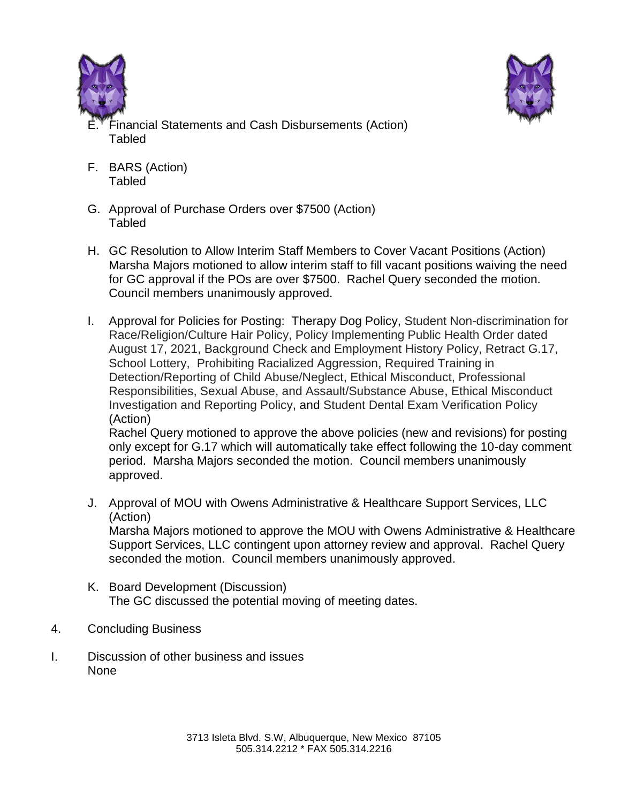



- inancial Statements and Cash Disbursements (Action) Tabled
- F. BARS (Action) Tabled
- G. Approval of Purchase Orders over \$7500 (Action) Tabled
- H. GC Resolution to Allow Interim Staff Members to Cover Vacant Positions (Action) Marsha Majors motioned to allow interim staff to fill vacant positions waiving the need for GC approval if the POs are over \$7500. Rachel Query seconded the motion. Council members unanimously approved.
- I. Approval for Policies for Posting: Therapy Dog Policy, Student Non-discrimination for Race/Religion/Culture Hair Policy, Policy Implementing Public Health Order dated August 17, 2021, Background Check and Employment History Policy, Retract G.17, School Lottery, Prohibiting Racialized Aggression, Required Training in Detection/Reporting of Child Abuse/Neglect, Ethical Misconduct, Professional Responsibilities, Sexual Abuse, and Assault/Substance Abuse, Ethical Misconduct Investigation and Reporting Policy, and Student Dental Exam Verification Policy (Action)

Rachel Query motioned to approve the above policies (new and revisions) for posting only except for G.17 which will automatically take effect following the 10-day comment period. Marsha Majors seconded the motion. Council members unanimously approved.

- J. Approval of MOU with Owens Administrative & Healthcare Support Services, LLC (Action) Marsha Majors motioned to approve the MOU with Owens Administrative & Healthcare Support Services, LLC contingent upon attorney review and approval. Rachel Query seconded the motion. Council members unanimously approved.
- K. Board Development (Discussion) The GC discussed the potential moving of meeting dates.
- 4. Concluding Business
- I. Discussion of other business and issues None